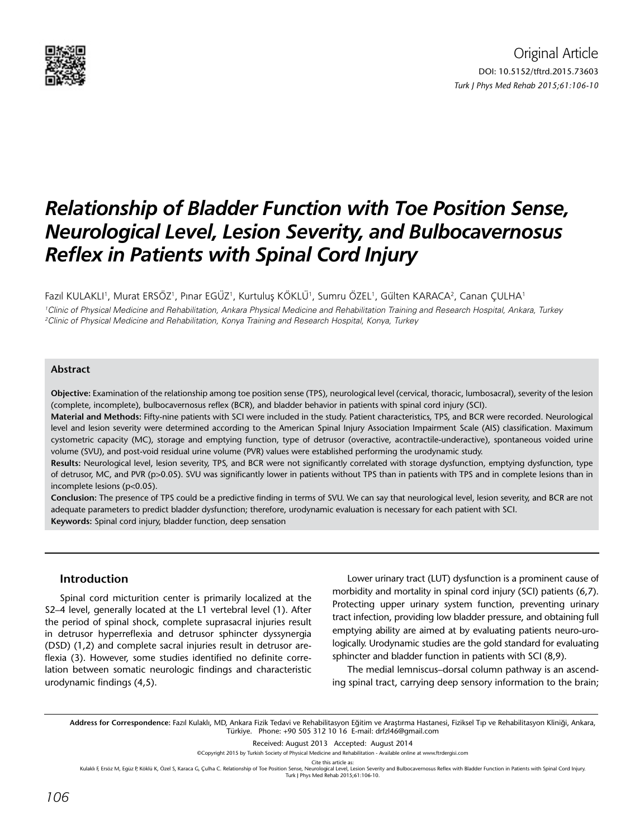

# *Relationship of Bladder Function with Toe Position Sense, Neurological Level, Lesion Severity, and Bulbocavernosus Reflex in Patients with Spinal Cord Injury*

Fazıl KULAKLI', Murat ERSÖZ', Pınar EGÜZ', Kurtuluş KÖKLÜ', Sumru ÖZEL', Gülten KARACA<sup>2</sup>, Canan ÇULHA' 1 Clinic of Physical Medicine and Rehabilitation, Ankara Physical Medicine and Rehabilitation Training and Research Hospital, Ankara, Turkey 2 Clinic of Physical Medicine and Rehabilitation, Konya Training and Research Hospital, Konya, Turkey

## **Abstract**

**Objective:** Examination of the relationship among toe position sense (TPS), neurological level (cervical, thoracic, lumbosacral), severity of the lesion (complete, incomplete), bulbocavernosus reflex (BCR), and bladder behavior in patients with spinal cord injury (SCI).

**Material and Methods:** Fifty-nine patients with SCI were included in the study. Patient characteristics, TPS, and BCR were recorded. Neurological level and lesion severity were determined according to the American Spinal Injury Association Impairment Scale (AIS) classification. Maximum cystometric capacity (MC), storage and emptying function, type of detrusor (overactive, acontractile-underactive), spontaneous voided urine volume (SVU), and post-void residual urine volume (PVR) values were established performing the urodynamic study.

**Results:** Neurological level, lesion severity, TPS, and BCR were not significantly correlated with storage dysfunction, emptying dysfunction, type of detrusor, MC, and PVR (p>0.05). SVU was significantly lower in patients without TPS than in patients with TPS and in complete lesions than in incomplete lesions (p<0.05).

**Conclusion:** The presence of TPS could be a predictive finding in terms of SVU. We can say that neurological level, lesion severity, and BCR are not adequate parameters to predict bladder dysfunction; therefore, urodynamic evaluation is necessary for each patient with SCI. **Keywords:** Spinal cord injury, bladder function, deep sensation

## **Introduction**

Spinal cord micturition center is primarily localized at the S2–4 level, generally located at the L1 vertebral level (1). After the period of spinal shock, complete suprasacral injuries result in detrusor hyperreflexia and detrusor sphincter dyssynergia (DSD) (1,2) and complete sacral injuries result in detrusor areflexia (3). However, some studies identified no definite correlation between somatic neurologic findings and characteristic urodynamic findings (4,5).

Lower urinary tract (LUT) dysfunction is a prominent cause of morbidity and mortality in spinal cord injury (SCI) patients (6,7). Protecting upper urinary system function, preventing urinary tract infection, providing low bladder pressure, and obtaining full emptying ability are aimed at by evaluating patients neuro-urologically. Urodynamic studies are the gold standard for evaluating sphincter and bladder function in patients with SCI (8,9).

The medial lemniscus–dorsal column pathway is an ascending spinal tract, carrying deep sensory information to the brain;

**Address for Correspondence:** Fazıl Kulaklı, MD, Ankara Fizik Tedavi ve Rehabilitasyon Eğitim ve Araştırma Hastanesi, Fiziksel Tıp ve Rehabilitasyon Kliniği, Ankara, Türkiye. Phone: +90 505 312 10 16 E-mail: drfzl46@gmail.com

Received: August 2013 Accepted: August 2014

©Copyright 2015 by Turkish Society of Physical Medicine and Rehabilitation - Available online at www.ftrdergisi.com

Cite this article as:

Kulaklı F, Ersöz M, Egüz P, Köklü K, Özel S, Karaca G, Çulha C. Relationship of Toe Position Sense, Neurological Level, Lesion Severity and Bulbocavernosus Reflex with Bladder Function in Patients with Spinal Cord Injury. Turk J Phys Med Rehab 2015;61:106-10.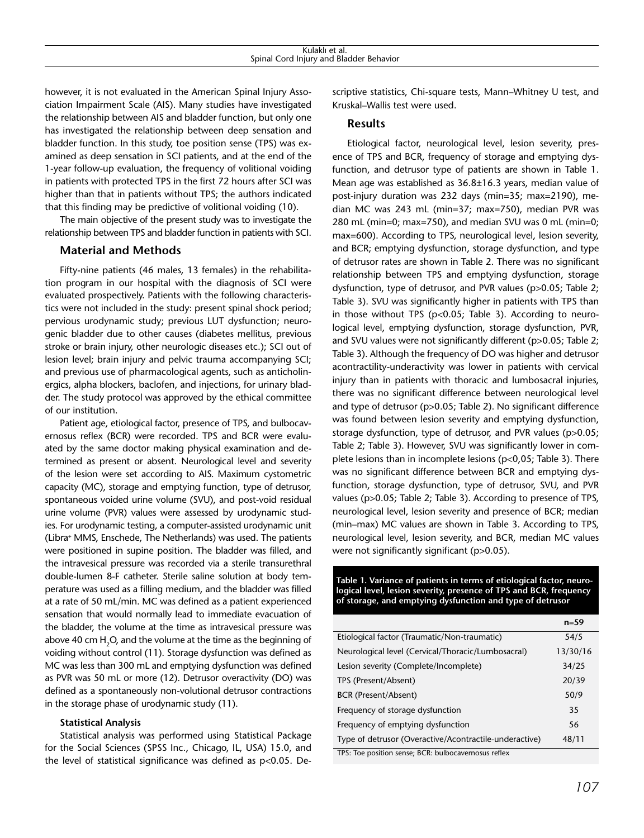however, it is not evaluated in the American Spinal Injury Association Impairment Scale (AIS). Many studies have investigated the relationship between AIS and bladder function, but only one has investigated the relationship between deep sensation and bladder function. In this study, toe position sense (TPS) was examined as deep sensation in SCI patients, and at the end of the 1-year follow-up evaluation, the frequency of volitional voiding in patients with protected TPS in the first 72 hours after SCI was higher than that in patients without TPS; the authors indicated that this finding may be predictive of volitional voiding (10).

The main objective of the present study was to investigate the relationship between TPS and bladder function in patients with SCI.

# **Material and Methods**

Fifty-nine patients (46 males, 13 females) in the rehabilitation program in our hospital with the diagnosis of SCI were evaluated prospectively. Patients with the following characteristics were not included in the study: present spinal shock period; pervious urodynamic study; previous LUT dysfunction; neurogenic bladder due to other causes (diabetes mellitus, previous stroke or brain injury, other neurologic diseases etc.); SCI out of lesion level; brain injury and pelvic trauma accompanying SCI; and previous use of pharmacological agents, such as anticholinergics, alpha blockers, baclofen, and injections, for urinary bladder. The study protocol was approved by the ethical committee of our institution.

Patient age, etiological factor, presence of TPS, and bulbocavernosus reflex (BCR) were recorded. TPS and BCR were evaluated by the same doctor making physical examination and determined as present or absent. Neurological level and severity of the lesion were set according to AIS. Maximum cystometric capacity (MC), storage and emptying function, type of detrusor, spontaneous voided urine volume (SVU), and post-void residual urine volume (PVR) values were assessed by urodynamic studies. For urodynamic testing, a computer-assisted urodynamic unit (Libra+ MMS, Enschede, The Netherlands) was used. The patients were positioned in supine position. The bladder was filled, and the intravesical pressure was recorded via a sterile transurethral double-lumen 8-F catheter. Sterile saline solution at body temperature was used as a filling medium, and the bladder was filled at a rate of 50 mL/min. MC was defined as a patient experienced sensation that would normally lead to immediate evacuation of the bladder, the volume at the time as intravesical pressure was above 40 cm H $_{\rm 2}$ O, and the volume at the time as the beginning of voiding without control (11). Storage dysfunction was defined as MC was less than 300 mL and emptying dysfunction was defined as PVR was 50 mL or more (12). Detrusor overactivity (DO) was defined as a spontaneously non-volutional detrusor contractions in the storage phase of urodynamic study (11).

## **Statistical Analysis**

Statistical analysis was performed using Statistical Package for the Social Sciences (SPSS Inc., Chicago, IL, USA) 15.0, and the level of statistical significance was defined as p<0.05. Descriptive statistics, Chi-square tests, Mann–Whitney U test, and Kruskal–Wallis test were used.

## **Results**

Etiological factor, neurological level, lesion severity, presence of TPS and BCR, frequency of storage and emptying dysfunction, and detrusor type of patients are shown in Table 1. Mean age was established as 36.8±16.3 years, median value of post-injury duration was 232 days (min=35; max=2190), median MC was 243 mL (min=37; max=750), median PVR was 280 mL (min=0; max=750), and median SVU was 0 mL (min=0; max=600). According to TPS, neurological level, lesion severity, and BCR; emptying dysfunction, storage dysfunction, and type of detrusor rates are shown in Table 2. There was no significant relationship between TPS and emptying dysfunction, storage dysfunction, type of detrusor, and PVR values (p>0.05; Table 2; Table 3). SVU was significantly higher in patients with TPS than in those without TPS (p<0.05; Table 3). According to neurological level, emptying dysfunction, storage dysfunction, PVR, and SVU values were not significantly different (p>0.05: Table 2: Table 3). Although the frequency of DO was higher and detrusor acontractility-underactivity was lower in patients with cervical injury than in patients with thoracic and lumbosacral injuries, there was no significant difference between neurological level and type of detrusor (p>0.05; Table 2). No significant difference was found between lesion severity and emptying dysfunction, storage dysfunction, type of detrusor, and PVR values (p>0.05; Table 2; Table 3). However, SVU was significantly lower in complete lesions than in incomplete lesions (p<0,05; Table 3). There was no significant difference between BCR and emptying dysfunction, storage dysfunction, type of detrusor, SVU, and PVR values (p>0.05; Table 2; Table 3). According to presence of TPS, neurological level, lesion severity and presence of BCR; median (min–max) MC values are shown in Table 3. According to TPS, neurological level, lesion severity, and BCR, median MC values were not significantly significant (p>0.05).

**Table 1. Variance of patients in terms of etiological factor, neurological level, lesion severity, presence of TPS and BCR, frequency of storage, and emptying dysfunction and type of detrusor**

|                                                        | $n = 59$ |
|--------------------------------------------------------|----------|
| Etiological factor (Traumatic/Non-traumatic)           | 54/5     |
| Neurological level (Cervical/Thoracic/Lumbosacral)     | 13/30/16 |
| Lesion severity (Complete/Incomplete)                  | 34/25    |
| TPS (Present/Absent)                                   | 20/39    |
| BCR (Present/Absent)                                   | 50/9     |
| Frequency of storage dysfunction                       | 35       |
| Frequency of emptying dysfunction                      | 56       |
| Type of detrusor (Overactive/Acontractile-underactive) | 48/11    |
| TPS: Toe position sense; BCR: bulbocavernosus reflex   |          |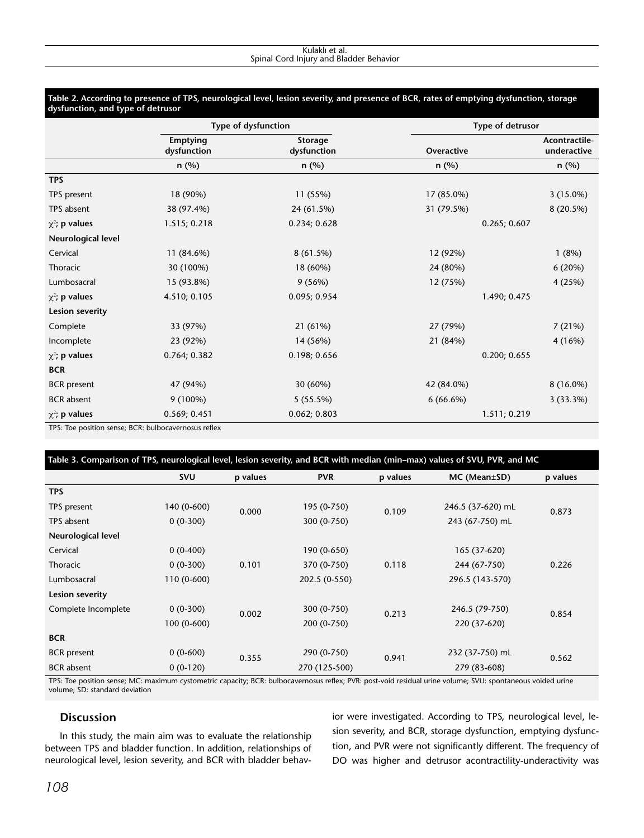#### **Table 2. According to presence of TPS, neurological level, lesion severity, and presence of BCR, rates of emptying dysfunction, storage dysfunction, and type of detrusor**

|                        |                                | Type of dysfunction           | Type of detrusor |                              |  |
|------------------------|--------------------------------|-------------------------------|------------------|------------------------------|--|
|                        | <b>Emptying</b><br>dysfunction | <b>Storage</b><br>dysfunction | Overactive       | Acontractile-<br>underactive |  |
|                        | n (%)                          | n (%)                         | n (%)            | n (%)                        |  |
| <b>TPS</b>             |                                |                               |                  |                              |  |
| TPS present            | 18 (90%)                       | 11 (55%)                      | 17 (85.0%)       | $3(15.0\%)$                  |  |
| TPS absent             | 38 (97.4%)                     | 24 (61.5%)                    | 31 (79.5%)       | 8 (20.5%)                    |  |
| $\chi^2$ ; p values    | 1.515; 0.218                   | 0.234; 0.628                  | 0.265; 0.607     |                              |  |
| Neurological level     |                                |                               |                  |                              |  |
| Cervical               | 11 (84.6%)                     | 8(61.5%)                      | 12 (92%)         | 1(8%)                        |  |
| Thoracic               | 30 (100%)                      | 18 (60%)                      | 24 (80%)         | 6 (20%)                      |  |
| Lumbosacral            | 15 (93.8%)                     | 9(56%)                        | 12 (75%)         | 4 (25%)                      |  |
| $\chi^2$ ; p values    | 4.510; 0.105                   | 0.095; 0.954                  | 1.490; 0.475     |                              |  |
| <b>Lesion severity</b> |                                |                               |                  |                              |  |
| Complete               | 33 (97%)                       | 21 (61%)                      | 27 (79%)         | 7(21%)                       |  |
| Incomplete             | 23 (92%)                       | 14 (56%)                      | 21 (84%)         | 4(16%)                       |  |
| $\chi^2$ ; p values    | 0.764; 0.382                   | 0.198; 0.656                  | 0.200; 0.655     |                              |  |
| <b>BCR</b>             |                                |                               |                  |                              |  |
| <b>BCR</b> present     | 47 (94%)                       | 30 (60%)                      | 42 (84.0%)       | $8(16.0\%)$                  |  |
| <b>BCR</b> absent      | 9 (100%)                       | $5(55.5\%)$                   | $6(66.6\%)$      | 3(33.3%)                     |  |
| $\chi^2$ ; p values    | 0.569; 0.451                   | 0.062; 0.803                  | 1.511; 0.219     |                              |  |

TPS: Toe position sense; BCR: bulbocavernosus reflex

| Table 3. Comparison of TPS, neurological level, lesion severity, and BCR with median (min-max) values of SVU, PVR, and MC |             |          |               |          |                   |          |
|---------------------------------------------------------------------------------------------------------------------------|-------------|----------|---------------|----------|-------------------|----------|
|                                                                                                                           | <b>SVU</b>  | p values | <b>PVR</b>    | p values | MC (Mean±SD)      | p values |
| <b>TPS</b>                                                                                                                |             |          |               |          |                   |          |
| TPS present                                                                                                               | 140 (0-600) | 0.000    | 195 (0-750)   | 0.109    | 246.5 (37-620) mL | 0.873    |
| TPS absent                                                                                                                | $0(0-300)$  |          | 300 (0-750)   |          | 243 (67-750) mL   |          |
| Neurological level                                                                                                        |             |          |               |          |                   |          |
| Cervical                                                                                                                  | $0(0-400)$  |          | 190 (0-650)   |          | 165 (37-620)      |          |
| Thoracic                                                                                                                  | $0(0-300)$  | 0.101    | 370 (0-750)   | 0.118    | 244 (67-750)      | 0.226    |
| Lumbosacral                                                                                                               | 110 (0-600) |          | 202.5 (0-550) |          | 296.5 (143-570)   |          |
| Lesion severity                                                                                                           |             |          |               |          |                   |          |
| Complete Incomplete                                                                                                       | $0(0-300)$  | 0.002    | 300 (0-750)   | 0.213    | 246.5 (79-750)    | 0.854    |
|                                                                                                                           | 100 (0-600) |          | 200 (0-750)   |          | 220 (37-620)      |          |
| <b>BCR</b>                                                                                                                |             |          |               |          |                   |          |
| <b>BCR</b> present                                                                                                        | $0(0-600)$  | 0.355    | 290 (0-750)   | 0.941    | 232 (37-750) mL   | 0.562    |
| <b>BCR</b> absent                                                                                                         | $0(0-120)$  |          | 270 (125-500) |          | 279 (83-608)      |          |

TPS: Toe position sense; MC: maximum cystometric capacity; BCR: bulbocavernosus reflex; PVR: post-void residual urine volume; SVU: spontaneous voided urine volume; SD: standard deviation

# **Discussion**

In this study, the main aim was to evaluate the relationship between TPS and bladder function. In addition, relationships of neurological level, lesion severity, and BCR with bladder behavior were investigated. According to TPS, neurological level, lesion severity, and BCR, storage dysfunction, emptying dysfunction, and PVR were not significantly different. The frequency of DO was higher and detrusor acontractility-underactivity was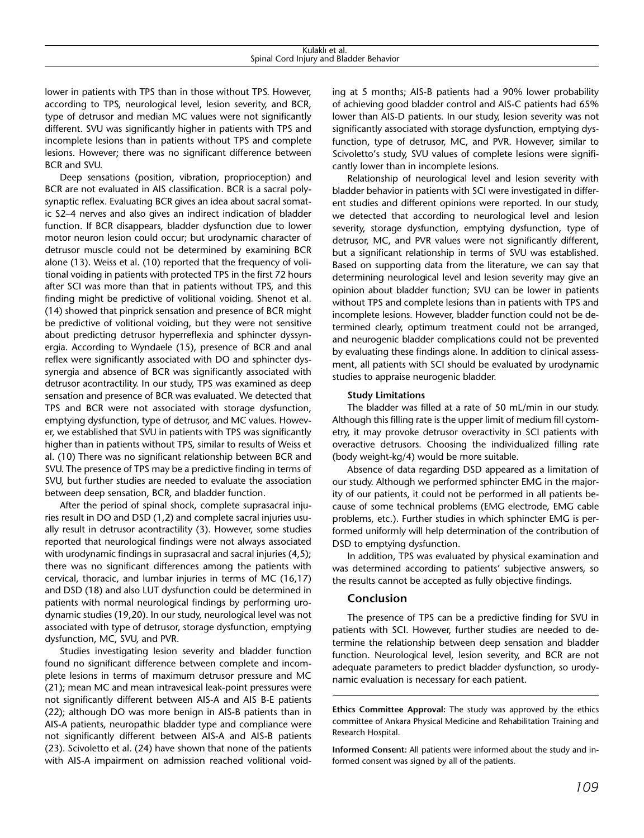| laklı<br>. aı.<br>NU.                                                             |  |
|-----------------------------------------------------------------------------------|--|
| .                                                                                 |  |
| DL.                                                                               |  |
| <b>snin</b><br>and<br>Bladder<br>navior<br>∟ord<br>. Iniur<br>- Ber<br>51 Z<br>۱d |  |
| .                                                                                 |  |

lower in patients with TPS than in those without TPS. However, according to TPS, neurological level, lesion severity, and BCR, type of detrusor and median MC values were not significantly different. SVU was significantly higher in patients with TPS and incomplete lesions than in patients without TPS and complete lesions. However; there was no significant difference between BCR and SVU.

Deep sensations (position, vibration, proprioception) and BCR are not evaluated in AIS classification. BCR is a sacral polysynaptic reflex. Evaluating BCR gives an idea about sacral somatic S2–4 nerves and also gives an indirect indication of bladder function. If BCR disappears, bladder dysfunction due to lower motor neuron lesion could occur; but urodynamic character of detrusor muscle could not be determined by examining BCR alone (13). Weiss et al. (10) reported that the frequency of volitional voiding in patients with protected TPS in the first 72 hours after SCI was more than that in patients without TPS, and this finding might be predictive of volitional voiding. Shenot et al. (14) showed that pinprick sensation and presence of BCR might be predictive of volitional voiding, but they were not sensitive about predicting detrusor hyperreflexia and sphincter dyssynergia. According to Wyndaele (15), presence of BCR and anal reflex were significantly associated with DO and sphincter dyssynergia and absence of BCR was significantly associated with detrusor acontractility. In our study, TPS was examined as deep sensation and presence of BCR was evaluated. We detected that TPS and BCR were not associated with storage dysfunction, emptying dysfunction, type of detrusor, and MC values. However, we established that SVU in patients with TPS was significantly higher than in patients without TPS, similar to results of Weiss et al. (10) There was no significant relationship between BCR and SVU. The presence of TPS may be a predictive finding in terms of SVU, but further studies are needed to evaluate the association between deep sensation, BCR, and bladder function.

After the period of spinal shock, complete suprasacral injuries result in DO and DSD (1,2) and complete sacral injuries usually result in detrusor acontractility (3). However, some studies reported that neurological findings were not always associated with urodynamic findings in suprasacral and sacral injuries (4,5); there was no significant differences among the patients with cervical, thoracic, and lumbar injuries in terms of MC (16,17) and DSD (18) and also LUT dysfunction could be determined in patients with normal neurological findings by performing urodynamic studies (19,20). In our study, neurological level was not associated with type of detrusor, storage dysfunction, emptying dysfunction, MC, SVU, and PVR.

Studies investigating lesion severity and bladder function found no significant difference between complete and incomplete lesions in terms of maximum detrusor pressure and MC (21); mean MC and mean intravesical leak-point pressures were not significantly different between AIS-A and AIS B-E patients (22); although DO was more benign in AIS-B patients than in AIS-A patients, neuropathic bladder type and compliance were not significantly different between AIS-A and AIS-B patients (23). Scivoletto et al. (24) have shown that none of the patients with AIS-A impairment on admission reached volitional voiding at 5 months; AIS-B patients had a 90% lower probability of achieving good bladder control and AIS-C patients had 65% lower than AIS-D patients. In our study, lesion severity was not significantly associated with storage dysfunction, emptying dysfunction, type of detrusor, MC, and PVR. However, similar to Scivoletto's study, SVU values of complete lesions were significantly lower than in incomplete lesions.

Relationship of neurological level and lesion severity with bladder behavior in patients with SCI were investigated in different studies and different opinions were reported. In our study, we detected that according to neurological level and lesion severity, storage dysfunction, emptying dysfunction, type of detrusor, MC, and PVR values were not significantly different, but a significant relationship in terms of SVU was established. Based on supporting data from the literature, we can say that determining neurological level and lesion severity may give an opinion about bladder function; SVU can be lower in patients without TPS and complete lesions than in patients with TPS and incomplete lesions. However, bladder function could not be determined clearly, optimum treatment could not be arranged, and neurogenic bladder complications could not be prevented by evaluating these findings alone. In addition to clinical assessment, all patients with SCI should be evaluated by urodynamic studies to appraise neurogenic bladder.

#### **Study Limitations**

The bladder was filled at a rate of 50 mL/min in our study. Although this filling rate is the upper limit of medium fill cystometry, it may provoke detrusor overactivity in SCI patients with overactive detrusors. Choosing the individualized filling rate (body weight-kg/4) would be more suitable.

Absence of data regarding DSD appeared as a limitation of our study. Although we performed sphincter EMG in the majority of our patients, it could not be performed in all patients because of some technical problems (EMG electrode, EMG cable problems, etc.). Further studies in which sphincter EMG is performed uniformly will help determination of the contribution of DSD to emptying dysfunction.

In addition, TPS was evaluated by physical examination and was determined according to patients' subjective answers, so the results cannot be accepted as fully objective findings.

#### **Conclusion**

The presence of TPS can be a predictive finding for SVU in patients with SCI. However, further studies are needed to determine the relationship between deep sensation and bladder function. Neurological level, lesion severity, and BCR are not adequate parameters to predict bladder dysfunction, so urodynamic evaluation is necessary for each patient.

**Ethics Committee Approval:** The study was approved by the ethics committee of Ankara Physical Medicine and Rehabilitation Training and Research Hospital.

**Informed Consent:** All patients were informed about the study and informed consent was signed by all of the patients.